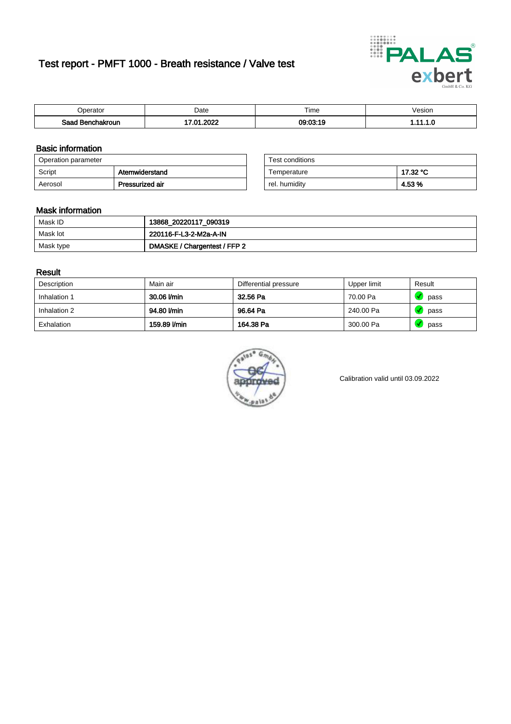# Test report - PMFT 1000 - Breath resistance / Valve test



| `nerator                      | Date           | $- \cdot$<br><b>Time</b> | /esion |
|-------------------------------|----------------|--------------------------|--------|
| Saad<br><b>nchakroun</b><br>. | ാറാറ<br>$\sim$ | 09:03:19                 | .      |

### Basic information

| Operation parameter |                 | Test conditions |          |
|---------------------|-----------------|-----------------|----------|
| Script              | Atemwiderstand  | Temperature     | 17.32 °C |
| Aerosol             | Pressurized air | rel. humidity   | 4.53%    |

| Test conditions |          |
|-----------------|----------|
| Temperature     | 17.32 °C |
| rel. humidity   | 4.53 %   |

### Mask information

| Mask ID   | 13868_20220117_090319        |
|-----------|------------------------------|
| Mask lot  | 220116-F-L3-2-M2a-A-IN       |
| Mask type | DMASKE / Chargentest / FFP 2 |

### Result

| Description  | Main air     | Differential pressure | Upper limit | Result |
|--------------|--------------|-----------------------|-------------|--------|
| Inhalation 1 | 30.06 l/min  | 32.56 Pa              | 70.00 Pa    | pass   |
| Inhalation 2 | 94.80 l/min  | 96.64 Pa              | 240.00 Pa   | pass   |
| Exhalation   | 159.89 l/min | 164.38 Pa             | 300.00 Pa   | pass   |



Calibration valid until 03.09.2022